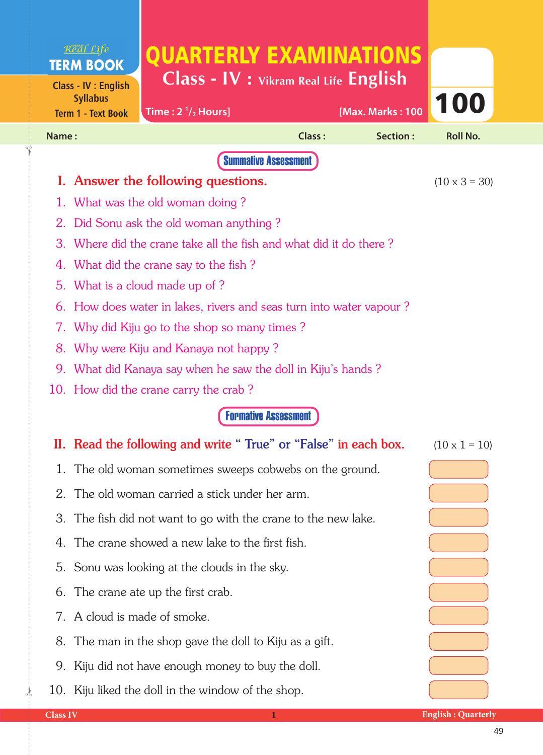|                                                                    | Real Life                                                                                          |                                                                 |        |                  |                 |  |  |  |  |
|--------------------------------------------------------------------|----------------------------------------------------------------------------------------------------|-----------------------------------------------------------------|--------|------------------|-----------------|--|--|--|--|
| <b>TERM BOOK</b>                                                   |                                                                                                    | QUARTERLY EXAMINATIONS                                          |        |                  |                 |  |  |  |  |
|                                                                    | <b>Class - IV : English</b><br><b>Syllabus</b>                                                     | Class - IV : Vikram Real Life English                           |        |                  |                 |  |  |  |  |
| <b>Term 1 - Text Book</b>                                          |                                                                                                    | Time: $2 \frac{1}{2}$ Hours]                                    |        | [Max. Marks: 100 | 100             |  |  |  |  |
| Name:                                                              |                                                                                                    |                                                                 | Class: | Section:         | <b>Roll No.</b> |  |  |  |  |
|                                                                    |                                                                                                    | <b>Summative Assessment</b>                                     |        |                  |                 |  |  |  |  |
|                                                                    | I. Answer the following questions.<br>$(10 \times 3 = 30)$                                         |                                                                 |        |                  |                 |  |  |  |  |
| 1.                                                                 | What was the old woman doing?                                                                      |                                                                 |        |                  |                 |  |  |  |  |
| 2.                                                                 | Did Sonu ask the old woman anything?                                                               |                                                                 |        |                  |                 |  |  |  |  |
| 3. Where did the crane take all the fish and what did it do there? |                                                                                                    |                                                                 |        |                  |                 |  |  |  |  |
|                                                                    | 4. What did the crane say to the fish?                                                             |                                                                 |        |                  |                 |  |  |  |  |
| 5.                                                                 | What is a cloud made up of ?                                                                       |                                                                 |        |                  |                 |  |  |  |  |
|                                                                    | 6. How does water in lakes, rivers and seas turn into water vapour?                                |                                                                 |        |                  |                 |  |  |  |  |
| 7.<br>8.                                                           | Why did Kiju go to the shop so many times?                                                         |                                                                 |        |                  |                 |  |  |  |  |
| 9.                                                                 | Why were Kiju and Kanaya not happy?                                                                |                                                                 |        |                  |                 |  |  |  |  |
|                                                                    | What did Kanaya say when he saw the doll in Kiju's hands?<br>10. How did the crane carry the crab? |                                                                 |        |                  |                 |  |  |  |  |
| <b>Formative Assessment</b>                                        |                                                                                                    |                                                                 |        |                  |                 |  |  |  |  |
|                                                                    |                                                                                                    | II. Read the following and write "True" or "False" in each box. |        |                  |                 |  |  |  |  |
|                                                                    |                                                                                                    | $(10 \times 1 = 10)$                                            |        |                  |                 |  |  |  |  |
| 1.                                                                 | The old woman sometimes sweeps cobwebs on the ground.                                              |                                                                 |        |                  |                 |  |  |  |  |
| 2.                                                                 | The old woman carried a stick under her arm.                                                       |                                                                 |        |                  |                 |  |  |  |  |
| 3.                                                                 | The fish did not want to go with the crane to the new lake.                                        |                                                                 |        |                  |                 |  |  |  |  |
| 4.                                                                 | The crane showed a new lake to the first fish.                                                     |                                                                 |        |                  |                 |  |  |  |  |
|                                                                    | 5. Sonu was looking at the clouds in the sky.                                                      |                                                                 |        |                  |                 |  |  |  |  |
|                                                                    | 6. The crane ate up the first crab.                                                                |                                                                 |        |                  |                 |  |  |  |  |
|                                                                    | 7. A cloud is made of smoke.                                                                       |                                                                 |        |                  |                 |  |  |  |  |
|                                                                    | 8. The man in the shop gave the doll to Kiju as a gift.                                            |                                                                 |        |                  |                 |  |  |  |  |
|                                                                    | 9. Kiju did not have enough money to buy the doll.                                                 |                                                                 |        |                  |                 |  |  |  |  |
|                                                                    | 10. Kiju liked the doll in the window of the shop.                                                 |                                                                 |        |                  |                 |  |  |  |  |

✁

 $\overline{\mathbf{r}}$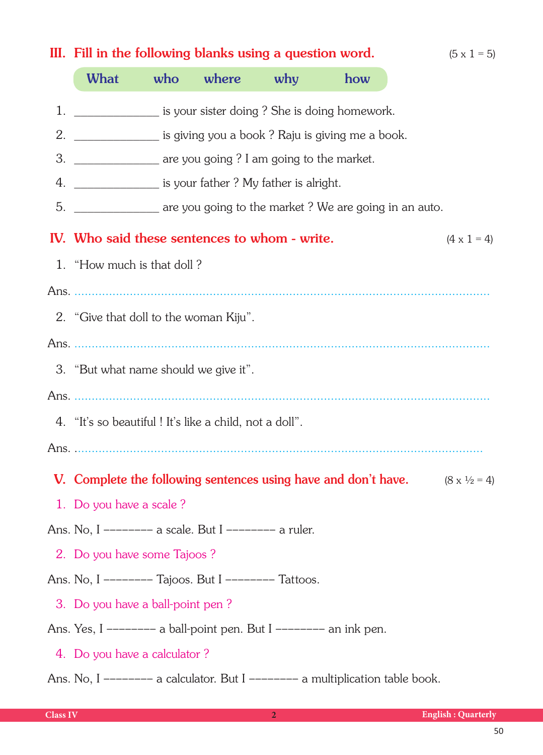# III. Fill in the following blanks using a question word.  $(5 \times 1 = 5)$  What who where why how 1. **Example 2** is your sister doing ? She is doing homework. 2. \_\_\_\_\_\_\_\_\_\_\_\_\_ is giving you a book ? Raju is giving me a book. 3. \_\_\_\_\_\_\_\_\_\_\_\_\_ are you going ? I am going to the market. 4. \_\_\_\_\_\_\_\_\_\_\_\_\_ is your father ? My father is alright. 5. **Example 20** are you going to the market ? We are going in an auto. IV. Who said these sentences to whom - write.  $(4 \times 1 = 4)$  1. "How much is that doll ? Ans. ........................................................................................................................ 2. "Give that doll to the woman Kiju". Ans. ........................................................................................................................ 3. "But what name should we give it". Ans. ........................................................................................................................ 4. "It's so beautiful ! It's like a child, not a doll". Ans. ...................................................................................................................... **V.** Complete the following sentences using have and don't have.  $(8 \times \frac{1}{2} = 4)$  1. Do you have a scale ? Ans. No, I –––––––– a scale. But I –––––––– a ruler. 2. Do you have some Tajoos ? Ans. No, I –––––––– Tajoos. But I –––––––– Tattoos. 3. Do you have a ball-point pen ? Ans. Yes, I –––––––– a ball-point pen. But I –––––––– an ink pen. 4. Do you have a calculator ?

Ans. No, I -------- a calculator. But I -------- a multiplication table book.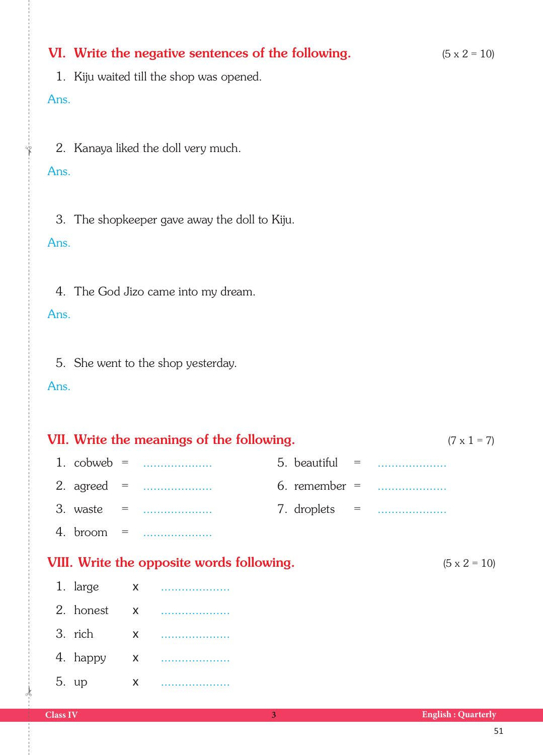# VI. Write the negative sentences of the following.  $(5 \times 2 = 10)$  1. Kiju waited till the shop was opened. Ans.

2. Kanaya liked the doll very much.

#### Ans.

✁

3. The shopkeeper gave away the doll to Kiju.

#### Ans.

4. The God Jizo came into my dream.

#### Ans.

5. She went to the shop yesterday.

#### Ans.

## VII. Write the meanings of the following.  $(7 \times 1 = 7)$

- 1. cobweb = .................... 5. beautiful = .................... 2. agreed = .................... 6. remember = .................... 3. waste = .................... 7. droplets = ....................
- 4. broom = .....................

### **VIII.** Write the opposite words following.  $(5 \times 2 = 10)$

- 1. large × x ....................
- 2. honest x .................... 3. rich x .................... 4. happy × x .................... 5. up x .....................

 $\frac{1}{2}$